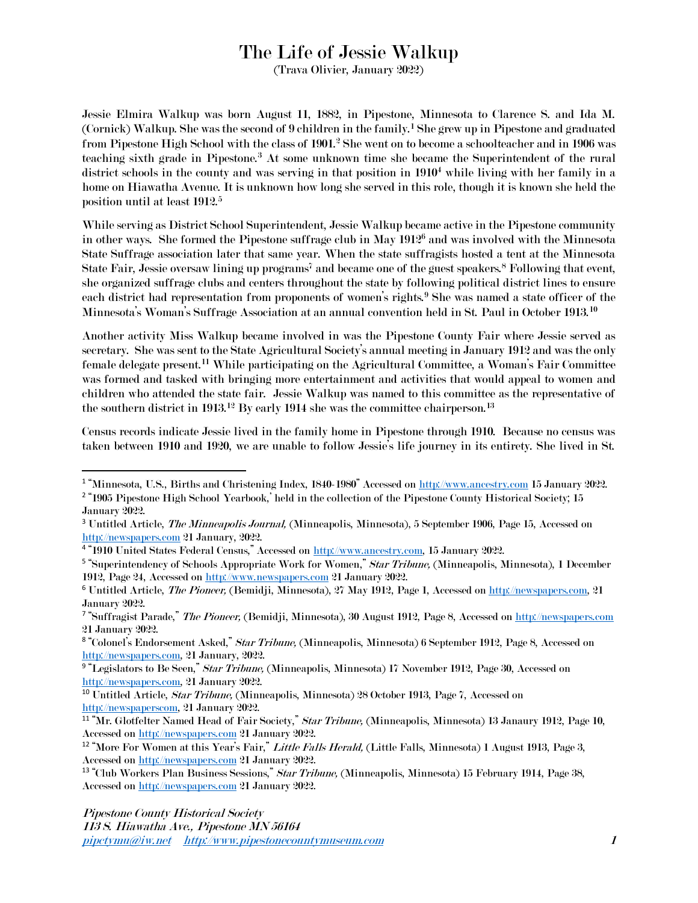## The Life of Jessie Walkup

(Trava Olivier, January 2022)

Jessie Elmira Walkup was born August 11, 1882, in Pipestone, Minnesota to Clarence S. and Ida M. (Cornick) Walkup. She was the second of 9 children in the family. <sup>1</sup> She grew up in Pipestone and graduated from Pipestone High School with the class of 1901.<sup>2</sup> She went on to become a schoolteacher and in 1906 was teaching sixth grade in Pipestone.<sup>3</sup> At some unknown time she became the Superintendent of the rural district schools in the county and was serving in that position in  $1910<sup>4</sup>$  while living with her family in a home on Hiawatha Avenue. It is unknown how long she served in this role, though it is known she held the position until at least 1912. 5

While serving as District School Superintendent, Jessie Walkup became active in the Pipestone community in other ways. She formed the Pipestone suffrage club in May 1912<sup>6</sup> and was involved with the Minnesota State Suffrage association later that same year. When the state suffragists hosted a tent at the Minnesota State Fair, Jessie oversaw lining up programs<sup>7</sup> and became one of the guest speakers.<sup>8</sup> Following that event, she organized suffrage clubs and centers throughout the state by following political district lines to ensure each district had representation from proponents of women's rights.<sup>9</sup> She was named a state officer of the Minnesota's Woman's Suffrage Association at an annual convention held in St. Paul in October 1913.<sup>10</sup>

Another activity Miss Walkup became involved in was the Pipestone County Fair where Jessie served as secretary. She was sent to the State Agricultural Society's annual meeting in January 1912 and was the only female delegate present. <sup>11</sup> While participating on the Agricultural Committee, a Woman's Fair Committee was formed and tasked with bringing more entertainment and activities that would appeal to women and children who attended the state fair. Jessie Walkup was named to this committee as the representative of the southern district in 1913. $^{12}$  By early 1914 she was the committee chairperson. $^{13}$ 

Census records indicate Jessie lived in the family home in Pipestone through 1910. Because no census was taken between 1910 and 1920, we are unable to follow Jessie's life journey in its entirety. She lived in St.

<sup>&</sup>lt;sup>1</sup> "Minnesota, U.S., Births and Christening Index, 1840-1980" Accessed on <u>[http://www.ancestry.com](http://www.ancestry.com/)</u> 15 January 2022.

<sup>&</sup>lt;sup>2</sup> "1905 Pipestone High School Yearbook,' held in the collection of the Pipestone County Historical Society; 15 January 2022.

<sup>&</sup>lt;sup>3</sup> Untitled Article, *The Minneapolis Journal*, (Minneapolis, Minnesota), 5 September 1906, Page 15, Accessed on [http://newspapers.com](http://newspapers.com/) 21 January, 2022.

<sup>&</sup>lt;sup>4</sup> "1910 United States Federal Census," Accessed on <u>http://www.ancestry.com</u>, 15 January 2022.

<sup>&</sup>lt;sup>5</sup> "Superintendency of Schools Appropriate Work for Women," *Star Tribune,* (Minneapolis, Minnesota), 1 December 1912, Page 24, Accessed on [http://www.newspapers.com](http://www.newspapers.com/) 21 January 2022.

<sup>&</sup>lt;sup>6</sup> Untitled Article, *The Pioneer*, (Bemidji, Minnesota), 27 May 1912, Page 1, Accessed on [http://newspapers.com,](http://newspapers.com/) 21 January 2022.

<sup>&</sup>lt;sup>7</sup> "Suffragist Parade," *The Pioneer,* (Bemidji, Minnesota), 30 August 1912, Page 8, Accessed on <u>http://newspapers.com</u> 21 January 2022.

 $^8$  "Colonel's Endorsement Asked," *Star Tribune,* (Minneapolis, Minnesota) 6 September 1912, Page 8, Accessed on [http://newspapers.com,](http://newspapers.com/) 21 January, 2022.

<sup>&</sup>lt;sup>9</sup> "Legislators to Be Seen," *Star Tribune,* (Minneapolis, Minnesota) 17 November 1912, Page 30, Accessed on [http://newspapers.com,](http://newspapers.com/) 21 January 2022.

<sup>10</sup> Untitled Article, Star Tribune, (Minneapolis, Minnesota) 28 October 1913, Page 7, Accessed on [http://newspaperscom,](http://newspaperscom/) 21 January 2022.

<sup>&</sup>lt;sup>11</sup> "Mr. Glotfelter Named Head of Fair Society," Star Tribune, (Minneapolis, Minnesota) 13 Janaury 1912, Page 10, Accessed on [http://newspapers.com](http://newspapers.com/) 21 January 2022.

<sup>&</sup>lt;sup>12</sup> "More For Women at this Year's Fair," *Little Falls Herald*, (Little Falls, Minnesota) 1 August 1913, Page 3, Accessed on [http://newspapers.com](http://newspapers.com/) 21 January 2022.

<sup>&</sup>lt;sup>13</sup> "Club Workers Plan Business Sessions," Star Tribune, (Minneapolis, Minnesota) 15 February 1914, Page 38, Accessed on [http://newspapers.com](http://newspapers.com/) 21 January 2022.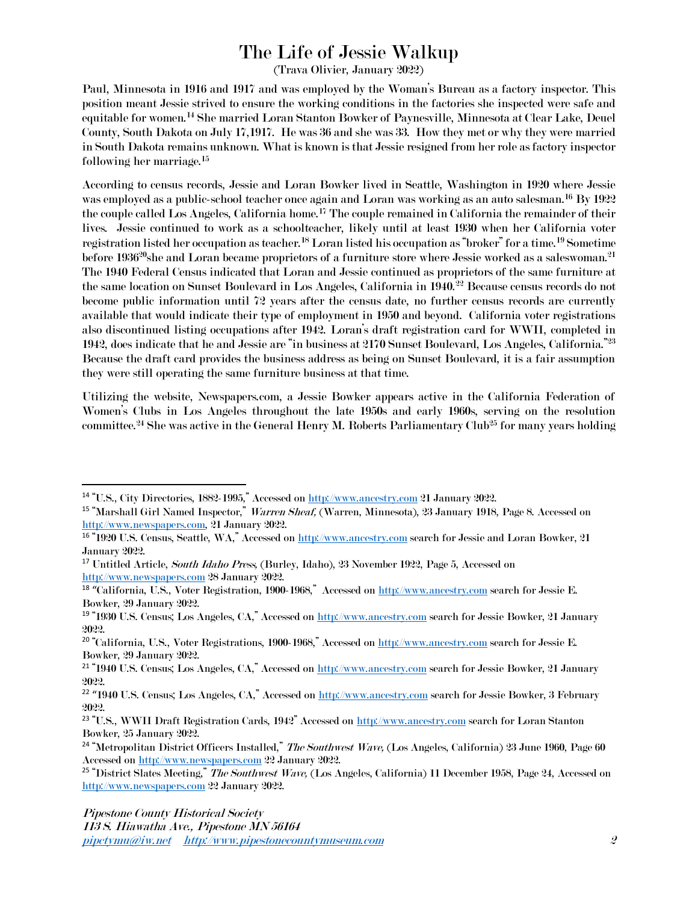## The Life of Jessie Walkup

(Trava Olivier, January 2022)

Paul, Minnesota in 1916 and 1917 and was employed by the Woman's Bureau as a factory inspector. This position meant Jessie strived to ensure the working conditions in the factories she inspected were safe and equitable for women. <sup>14</sup> She married Loran Stanton Bowker of Paynesville, Minnesota at Clear Lake, Deuel County, South Dakota on July 17,1917. He was 36 and she was 33. How they met or why they were married in South Dakota remains unknown. What is known is that Jessie resigned from her role as factory inspector following her marriage. 15

According to census records, Jessie and Loran Bowker lived in Seattle, Washington in 1920 where Jessie was employed as a public-school teacher once again and Loran was working as an auto salesman. <sup>16</sup> By 1922 the couple called Los Angeles, California home.<sup>17</sup> The couple remained in California the remainder of their lives. Jessie continued to work as a schoolteacher, likely until at least 1930 when her California voter registration listed her occupation as teacher.<sup>18</sup> Loran listed his occupation as "broker" for a time.<sup>19</sup> Sometime before  $1936^{\rm 20}$ she and Loran became proprietors of a furniture store where Jessie worked as a saleswoman. $^{\rm 21}$ The 1940 Federal Census indicated that Loran and Jessie continued as proprietors of the same furniture at the same location on Sunset Boulevard in Los Angeles, California in 1940.<sup>22</sup> Because census records do not become public information until 72 years after the census date, no further census records are currently available that would indicate their type of employment in 1950 and beyond. California voter registrations also discontinued listing occupations after 1942. Loran's draft registration card for WWII, completed in 1942, does indicate that he and Jessie are "in business at 2170 Sunset Boulevard, Los Angeles, California."<sup>23</sup> Because the draft card provides the business address as being on Sunset Boulevard, it is a fair assumption they were still operating the same furniture business at that time.

Utilizing the website, Newspapers.com, a Jessie Bowker appears active in the California Federation of Women's Clubs in Los Angeles throughout the late 1950s and early 1960s, serving on the resolution committee.<sup>24</sup> She was active in the General Henry M. Roberts Parliamentary Club<sup>25</sup> for many years holding

<sup>14</sup> "U.S., City Directories, 1882-1995," Accessed on [http://www.ancestry.com](http://www.ancestry.com/) 21 January 2022.

<sup>&</sup>lt;sup>15</sup> "Marshall Girl Named Inspector," Warren Sheaf, (Warren, Minnesota), 23 January 1918, Page 8. Accessed on [http://www.newspapers.com,](http://www.newspapers.com/) 21 January 2022.

<sup>&</sup>lt;sup>16</sup> "1920 U.S. Census, Seattle, WA," Accessed on [http://www.ancestry.com](http://www.ancestry.com/) search for Jessie and Loran Bowker, 21 January 2022.

<sup>&</sup>lt;sup>17</sup> Untitled Article, *South Idaho Press*, (Burley, Idaho), 23 November 1922, Page 5, Accessed on [http://www.newspapers.com](http://www.newspapers.com/) 28 January 2022.

 $^{18}$  "California, U.S., Voter Registration, 1900-1968," Accessed on  $\frac{\text{http://www.ancestry.com}}{\text{http://www.ancestry.com}}$  $\frac{\text{http://www.ancestry.com}}{\text{http://www.ancestry.com}}$  $\frac{\text{http://www.ancestry.com}}{\text{http://www.ancestry.com}}$  search for Jessie E. Bowker, 29 January 2022.

<sup>19</sup> "1930 U.S. Census; Los Angeles, CA," Accessed on [http://www.ancestry.com](http://www.ancestry.com/) search for Jessie Bowker, 21 January 2022.

<sup>&</sup>lt;sup>20</sup> "California, U.S., Voter Registrations, 1900-1968," Accessed on [http://www.ancestry.com](http://www.ancestry.com/) search for Jessie E. Bowker, 29 January 2022.

<sup>21</sup> "1940 U.S. Census; Los Angeles, CA," Accessed on [http://www.ancestry.com](http://www.ancestry.com/) search for Jessie Bowker, 21 January 2022.

<sup>&</sup>lt;sup>22</sup> "1940 U.S. Census; Los Angeles, CA," Accessed on <u>[http://www.ancestry.com](http://www.ancestry.com/)</u> search for Jessie Bowker, 3 February 2022.

<sup>23</sup> "U.S., WWII Draft Registration Cards, 1942" Accessed on [http://www.ancestry.com](http://www.ancestry.com/) search for Loran Stanton Bowker, 25 January 2022.

<sup>&</sup>lt;sup>24</sup> "Metropolitan District Officers Installed," *The Southwest Wave*, (Los Angeles, California) 23 June 1960, Page 60 Accessed on [http://www.newspapers.com](http://www.newspapers.com/) 22 January 2022.

<sup>&</sup>lt;sup>25</sup> "District Slates Meeting," The Southwest Wave, (Los Angeles, California) 11 December 1958, Page 24, Accessed on [http://www.newspapers.com](http://www.newspapers.com/) 22 January 2022.